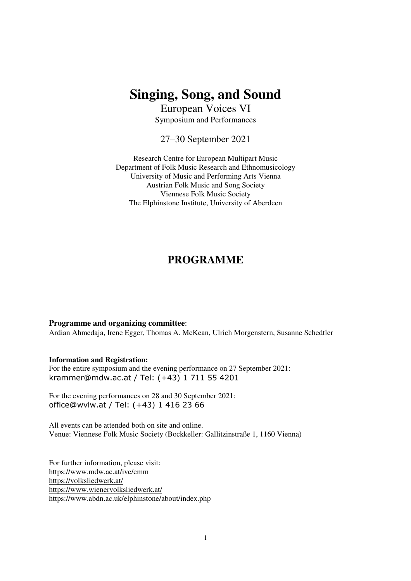# **Singing, Song, and Sound**

European Voices VI Symposium and Performances

27–30 September 2021

Research Centre for European Multipart Music Department of Folk Music Research and Ethnomusicology University of Music and Performing Arts Vienna Austrian Folk Music and Song Society Viennese Folk Music Society The Elphinstone Institute, University of Aberdeen

## **PROGRAMME**

#### **Programme and organizing committee**:

Ardian Ahmedaja, Irene Egger, Thomas A. McKean, Ulrich Morgenstern, Susanne Schedtler

#### **Information and Registration:**

For the entire symposium and the evening performance on 27 September 2021: krammer@mdw.ac.at / Tel: (+43) 1 711 55 4201

For the evening performances on 28 and 30 September 2021: office@wvlw.at / Tel: (+43) 1 416 23 66

All events can be attended both on site and online. Venue: Viennese Folk Music Society (Bockkeller: Gallitzinstraße 1, 1160 Vienna)

For further information, please visit: https://www.mdw.ac.at/ive/emm https://volksliedwerk.at/ https://www.wienervolksliedwerk.at/ https://www.abdn.ac.uk/elphinstone/about/index.php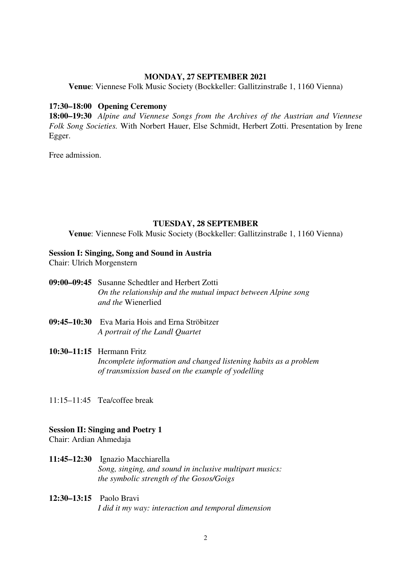#### **MONDAY, 27 SEPTEMBER 2021**

**Venue**: Viennese Folk Music Society (Bockkeller: Gallitzinstraße 1, 1160 Vienna)

#### **17:30–18:00 Opening Ceremony**

**18:00–19:30** *Alpine and Viennese Songs from the Archives of the Austrian and Viennese Folk Song Societies.* With Norbert Hauer, Else Schmidt, Herbert Zotti. Presentation by Irene Egger.

Free admission.

## **TUESDAY, 28 SEPTEMBER**

**Venue**: Viennese Folk Music Society (Bockkeller: Gallitzinstraße 1, 1160 Vienna)

#### **Session I: Singing, Song and Sound in Austria**

Chair: Ulrich Morgenstern

- **09:00–09:45** Susanne Schedtler and Herbert Zotti *On the relationship and the mutual impact between Alpine song and the* Wienerlied
- **09:45–10:30** Eva Maria Hois and Erna Ströbitzer *A portrait of the Landl Quartet*

#### **10:30–11:15** Hermann Fritz

*Incomplete information and changed listening habits as a problem of transmission based on the example of yodelling* 

11:15–11:45 Tea/coffee break

#### **Session II: Singing and Poetry 1**

Chair: Ardian Ahmedaja

**11:45–12:30** Ignazio Macchiarella *Song, singing, and sound in inclusive multipart musics: the symbolic strength of the Gosos/Goigs* 

## **12:30–13:15** Paolo Bravi *I did it my way: interaction and temporal dimension*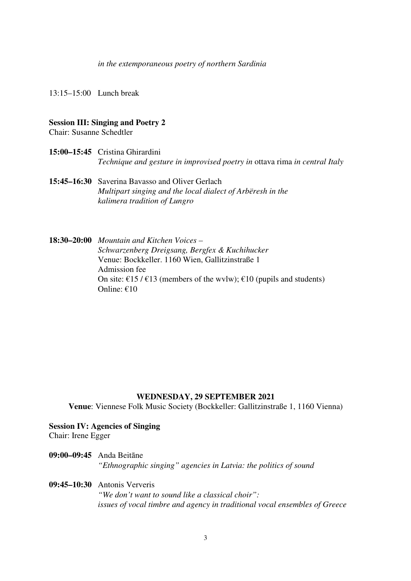*in the extemporaneous poetry of northern Sardinia* 

13:15–15:00 Lunch break

#### **Session III: Singing and Poetry 2**

Chair: Susanne Schedtler

- **15:00–15:45** Cristina Ghirardini *Technique and gesture in improvised poetry in* ottava rima *in central Italy*
- **15:45–16:30** Saverina Bavasso and Oliver Gerlach *Multipart singing and the local dialect of Arbëresh in the kalimera tradition of Lungro*

**18:30–20:00** *Mountain and Kitchen Voices – Schwarzenberg Dreigsang, Bergfex & Kuchihucker* Venue: Bockkeller. 1160 Wien, Gallitzinstraße 1 Admission fee On site:  $\epsilon$ 15 /  $\epsilon$ 13 (members of the wvlw);  $\epsilon$ 10 (pupils and students) Online: €10

## **WEDNESDAY, 29 SEPTEMBER 2021**

**Venue**: Viennese Folk Music Society (Bockkeller: Gallitzinstraße 1, 1160 Vienna)

## **Session IV: Agencies of Singing**

Chair: Irene Egger

**09:00–09:45** Anda Beitāne *"Ethnographic singing" agencies in Latvia: the politics of sound* 

**09:45–10:30** Antonis Ververis *"We don't want to sound like a classical choir": issues of vocal timbre and agency in traditional vocal ensembles of Greece*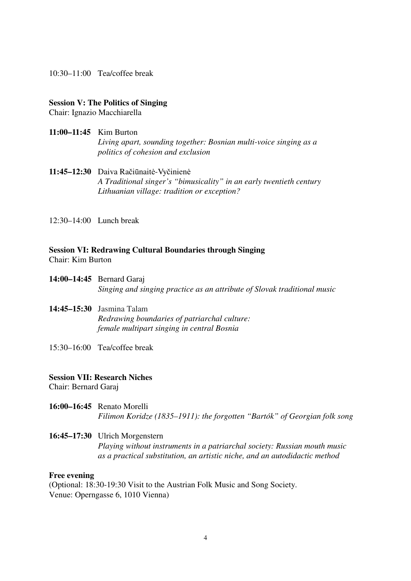10:30–11:00 Tea/coffee break

## **Session V: The Politics of Singing**

Chair: Ignazio Macchiarella

#### **11:00–11:45** Kim Burton

*Living apart, sounding together: Bosnian multi-voice singing as a politics of cohesion and exclusion* 

## 11:45-12:30 Daiva Račiūnaitė-Vyčinienė *A Traditional singer's "bimusicality" in an early twentieth century Lithuanian village: tradition or exception?*

12:30–14:00 Lunch break

## **Session VI: Redrawing Cultural Boundaries through Singing**

Chair: Kim Burton

**14:00–14:45** Bernard Garaj *Singing and singing practice as an attribute of Slovak traditional music* 

## **14:45–15:30** Jasmina Talam *Redrawing boundaries of patriarchal culture: female multipart singing in central Bosnia*

15:30–16:00 Tea/coffee break

## **Session VII: Research Niches**

Chair: Bernard Garaj

**16:00–16:45** Renato Morelli *Filimon Koridze (1835–1911): the forgotten "Bartók" of Georgian folk song* 

## **16:45–17:30** Ulrich Morgenstern *Playing without instruments in a patriarchal society: Russian mouth music as a practical substitution, an artistic niche, and an autodidactic method*

#### **Free evening**

(Optional: 18:30-19:30 Visit to the Austrian Folk Music and Song Society. Venue: Operngasse 6, 1010 Vienna)